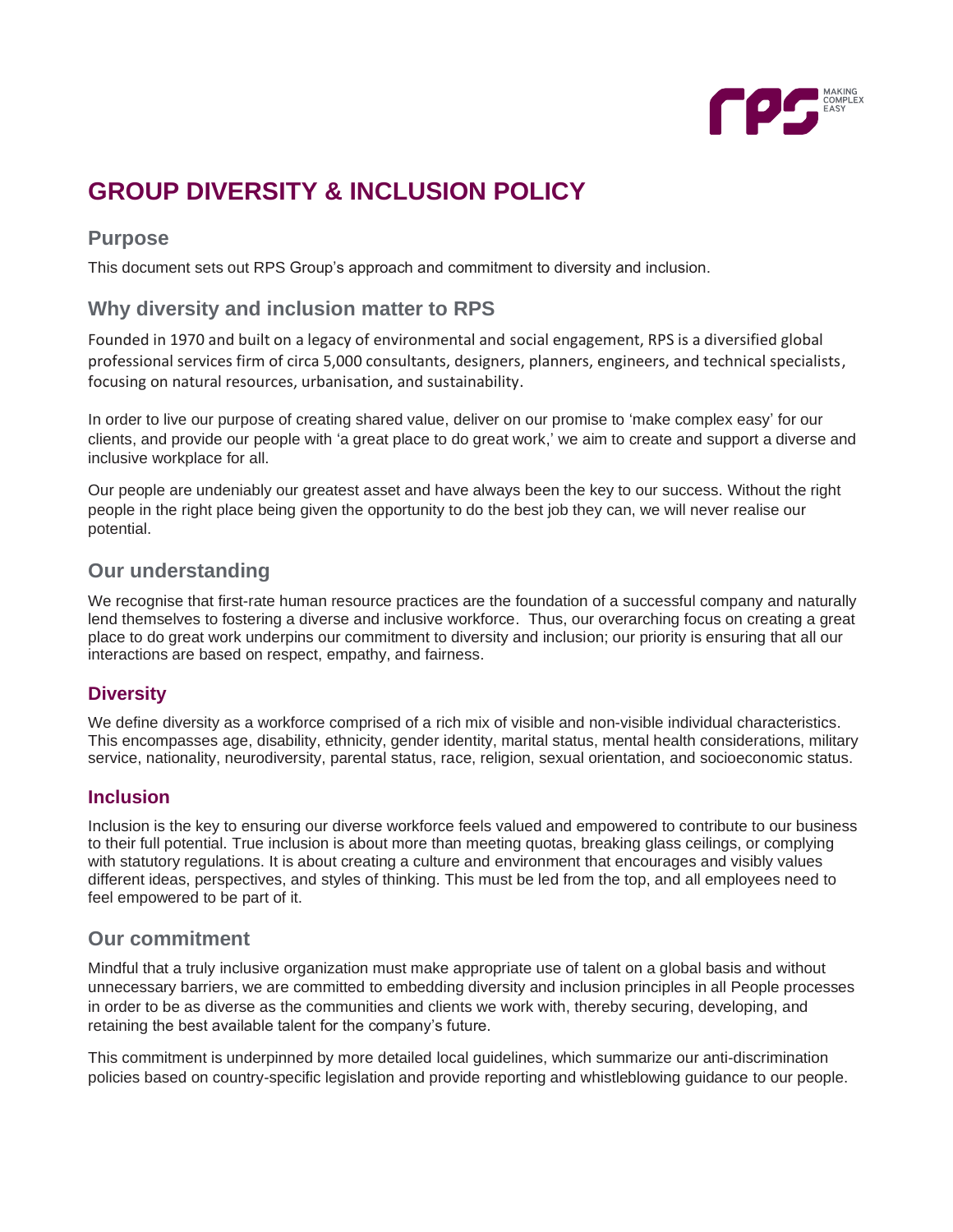

# **GROUP DIVERSITY & INCLUSION POLICY**

# **Purpose**

This document sets out RPS Group's approach and commitment to diversity and inclusion.

# **Why diversity and inclusion matter to RPS**

Founded in 1970 and built on a legacy of environmental and social engagement, RPS is a diversified global professional services firm of circa 5,000 consultants, designers, planners, engineers, and technical specialists, focusing on natural resources, urbanisation, and sustainability.

In order to live our purpose of creating shared value, deliver on our promise to 'make complex easy' for our clients, and provide our people with 'a great place to do great work,' we aim to create and support a diverse and inclusive workplace for all.

Our people are undeniably our greatest asset and have always been the key to our success. Without the right people in the right place being given the opportunity to do the best job they can, we will never realise our potential.

# **Our understanding**

We recognise that first-rate human resource practices are the foundation of a successful company and naturally lend themselves to fostering a diverse and inclusive workforce. Thus, our overarching focus on creating a great place to do great work underpins our commitment to diversity and inclusion; our priority is ensuring that all our interactions are based on respect, empathy, and fairness.

## **Diversity**

We define diversity as a workforce comprised of a rich mix of visible and non-visible individual characteristics. This encompasses age, disability, ethnicity, gender identity, marital status, mental health considerations, military service, nationality, neurodiversity, parental status, race, religion, sexual orientation, and socioeconomic status.

#### **Inclusion**

Inclusion is the key to ensuring our diverse workforce feels valued and empowered to contribute to our business to their full potential. True inclusion is about more than meeting quotas, breaking glass ceilings, or complying with statutory regulations. It is about creating a culture and environment that encourages and visibly values different ideas, perspectives, and styles of thinking. This must be led from the top, and all employees need to feel empowered to be part of it.

## **Our commitment**

Mindful that a truly inclusive organization must make appropriate use of talent on a global basis and without unnecessary barriers, we are committed to embedding diversity and inclusion principles in all People processes in order to be as diverse as the communities and clients we work with, thereby securing, developing, and retaining the best available talent for the company's future.

This commitment is underpinned by more detailed local guidelines, which summarize our anti-discrimination policies based on country-specific legislation and provide reporting and whistleblowing guidance to our people.